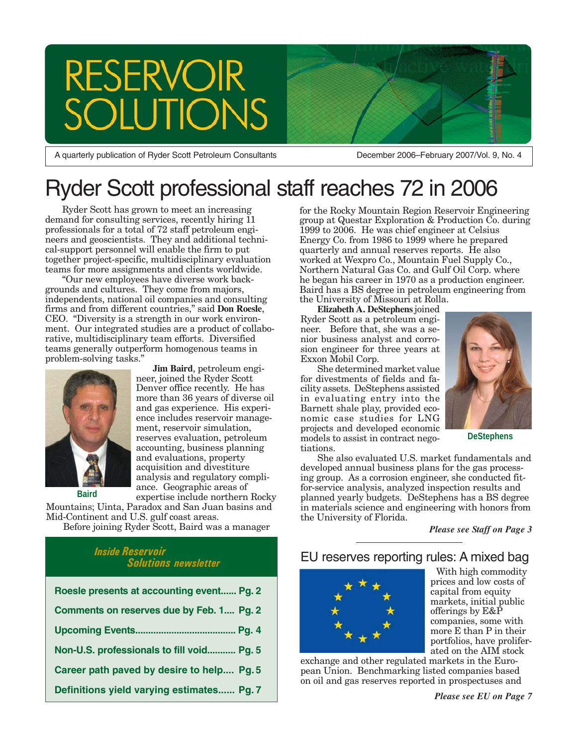# RESERVOIR<br>SOLUTION:

A quarterly publication of Ryder Scott Petroleum Consultants

December 2006–February 2007/Vol. 9, No. 4

# Ryder Scott professional staff reaches 72 in 2006

Ryder Scott has grown to meet an increasing demand for consulting services, recently hiring 11 professionals for a total of 72 staff petroleum engineers and geoscientists. They and additional technical-support personnel will enable the firm to put together project-specific, multidisciplinary evaluation teams for more assignments and clients worldwide.

"Our new employees have diverse work backgrounds and cultures. They come from majors, independents, national oil companies and consulting firms and from different countries," said **Don Roesle**, CEO. "Diversity is a strength in our work environment. Our integrated studies are a product of collaborative, multidisciplinary team efforts. Diversified teams generally outperform homogenous teams in problem-solving tasks."

> **Jim Baird**, petroleum engineer, joined the Ryder Scott Denver office recently. He has more than 36 years of diverse oil and gas experience. His experience includes reservoir management, reservoir simulation, reserves evaluation, petroleum accounting, business planning and evaluations, property acquisition and divestiture analysis and regulatory compliance. Geographic areas of



**Baird**

expertise include northern Rocky Mountains; Uinta, Paradox and San Juan basins and Mid-Continent and U.S. gulf coast areas.

Before joining Ryder Scott, Baird was a manager

## *Inside Reservoir Solutions newsletter*

| Roesle presents at accounting event Pg. 2 |
|-------------------------------------------|
| Comments on reserves due by Feb. 1 Pg. 2  |
|                                           |
| Non-U.S. professionals to fill void Pg. 5 |
| Career path paved by desire to help Pg. 5 |
| Definitions yield varying estimates Pg. 7 |

for the Rocky Mountain Region Reservoir Engineering group at Questar Exploration & Production Co. during 1999 to 2006. He was chief engineer at Celsius Energy Co. from 1986 to 1999 where he prepared quarterly and annual reserves reports. He also worked at Wexpro Co., Mountain Fuel Supply Co., Northern Natural Gas Co. and Gulf Oil Corp. where he began his career in 1970 as a production engineer. Baird has a BS degree in petroleum engineering from the University of Missouri at Rolla.

**Elizabeth A. DeStephens** joined Ryder Scott as a petroleum engineer. Before that, she was a senior business analyst and corrosion engineer for three years at Exxon Mobil Corp.

She determined market value for divestments of fields and facility assets. DeStephens assisted in evaluating entry into the Barnett shale play, provided economic case studies for LNG projects and developed economic models to assist in contract negotiations.



**DeStephens**

She also evaluated U.S. market fundamentals and developed annual business plans for the gas processing group. As a corrosion engineer, she conducted fitfor-service analysis, analyzed inspection results and planned yearly budgets. DeStephens has a BS degree in materials science and engineering with honors from the University of Florida.

*Please see Staff on Page 3*

## EU reserves reporting rules: A mixed bag



With high commodity prices and low costs of capital from equity markets, initial public offerings by E&P companies, some with more E than P in their portfolios, have proliferated on the AIM stock

exchange and other regulated markets in the European Union. Benchmarking listed companies based on oil and gas reserves reported in prospectuses and

*Please see EU on Page 7*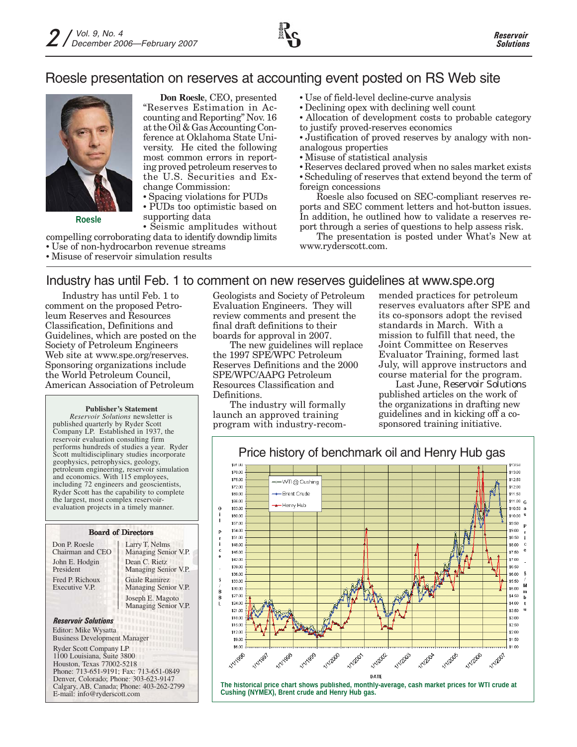## Roesle presentation on reserves at accounting event posted on RS Web site



**Roesle**

**Don Roesle**, CEO, presented "Reserves Estimation in Accounting and Reporting" Nov. 16 at the Oil & Gas Accounting Conference at Oklahoma State University. He cited the following most common errors in reporting proved petroleum reserves to the U.S. Securities and Exchange Commission:

• Spacing violations for PUDs

• PUDs too optimistic based on supporting data

• Seismic amplitudes without compelling corroborating data to identify downdip limits • Use of non-hydrocarbon revenue streams

• Misuse of reservoir simulation results

- Use of field-level decline-curve analysis
- Declining opex with declining well count
- Allocation of development costs to probable category to justify proved-reserves economics
- Justification of proved reserves by analogy with nonanalogous properties
- Misuse of statistical analysis
- Reserves declared proved when no sales market exists

• Scheduling of reserves that extend beyond the term of foreign concessions

Roesle also focused on SEC-compliant reserves reports and SEC comment letters and hot-button issues. In addition, he outlined how to validate a reserves report through a series of questions to help assess risk.

The presentation is posted under What's New at www.ryderscott.com.

## Industry has until Feb. 1 to comment on new reserves guidelines at www.spe.org

Industry has until Feb. 1 to comment on the proposed Petroleum Reserves and Resources Classification, Definitions and Guidelines, which are posted on the Society of Petroleum Engineers Web site at www.spe.org/reserves. Sponsoring organizations include the World Petroleum Council, American Association of Petroleum

## **Publisher's Statement**

*Reservoir Solutions* newsletter is published quarterly by Ryder Scott Company LP. Established in 1937, the reservoir evaluation consulting firm performs hundreds of studies a year. Ryder Scott multidisciplinary studies incorporate geophysics, petrophysics, geology, petroleum engineering, reservoir simulation and economics. With 115 employees, including 72 engineers and geoscientists, Ryder Scott has the capability to complete the largest, most complex reservoirevaluation projects in a timely manner.

## Board of Directors Don P. Roesle

Chairman and CEO John E. Hodgin President Fred P. Richoux Executive V.P.

Larry T. Nelms Managing Senior V.P. Dean C. Rietz Managing Senior V.P. Guale Ramirez Managing Senior V.P. Joseph E. Magoto Managing Senior V.P.

## *Reservoir Solutions* Editor: Mike Wysatta

Business Development Manager

Ryder Scott Company LP 1100 Louisiana, Suite 3800 Houston, Texas 77002-5218 Phone: 713-651-9191; Fax: 713-651-0849 Denver, Colorado; Phone: 303-623-9147 Calgary, AB, Canada; Phone: 403-262-2799 E-mail: info@ryderscott.com

Geologists and Society of Petroleum Evaluation Engineers. They will review comments and present the final draft definitions to their boards for approval in 2007.

The new guidelines will replace the 1997 SPE/WPC Petroleum Reserves Definitions and the 2000 SPE/WPC/AAPG Petroleum Resources Classification and Definitions.

The industry will formally launch an approved training program with industry-recom-

\$15.00

\$12.00

sann

\$6.00

**HYVISS** 

**NYVISST** 

**NIVIASB** 

**NVIVOS** 

**VIVIZOD** 

mended practices for petroleum reserves evaluators after SPE and its co-sponsors adopt the revised standards in March. With a mission to fulfill that need, the Joint Committee on Reserves Evaluator Training, formed last July, will approve instructors and course material for the program.

Last June, *Reservoir Solutions* published articles on the work of the organizations in drafting new guidelines and in kicking off a cosponsored training initiative.

\$2.50

eo no

\$1.50

 $51.00$ 

**VIVIZOT** 



**The historical price chart shows published, monthly-average, cash market prices for WTI crude at Cushing (NYMEX), Brent crude and Henry Hub gas.**

**HYRON** 

**NYIRB2** 

**DATE** 

**VIVIZO**B

**NYIZODA** 

VIVERBS

**VIVIZOR**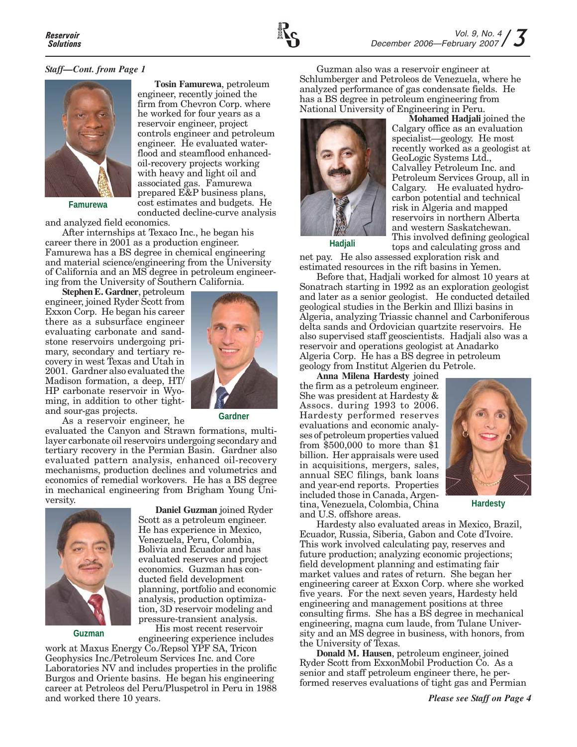

## *Staff—Cont. from Page 1*



**Famurewa**

conducted decline-curve analysis and analyzed field economics.

After internships at Texaco Inc., he began his career there in 2001 as a production engineer. Famurewa has a BS degree in chemical engineering and material science/engineering from the University of California and an MS degree in petroleum engineering from the University of Southern California.

**Stephen E. Gardner**, petroleum engineer, joined Ryder Scott from Exxon Corp. He began his career there as a subsurface engineer evaluating carbonate and sandstone reservoirs undergoing primary, secondary and tertiary recovery in west Texas and Utah in 2001. Gardner also evaluated the Madison formation, a deep, HT/ HP carbonate reservoir in Wyoming, in addition to other tightand sour-gas projects.

As a reservoir engineer, he



**Tosin Famurewa**, petroleum engineer, recently joined the firm from Chevron Corp. where he worked for four years as a reservoir engineer, project controls engineer and petroleum engineer. He evaluated waterflood and steamflood enhancedoil-recovery projects working with heavy and light oil and associated gas. Famurewa prepared E&P business plans, cost estimates and budgets. He

**Gardner**

evaluated the Canyon and Strawn formations, multilayer carbonate oil reservoirs undergoing secondary and tertiary recovery in the Permian Basin. Gardner also evaluated pattern analysis, enhanced oil-recovery mechanisms, production declines and volumetrics and economics of remedial workovers. He has a BS degree in mechanical engineering from Brigham Young University.



**Guzman**

**Daniel Guzman** joined Ryder Scott as a petroleum engineer. He has experience in Mexico, Venezuela, Peru, Colombia, Bolivia and Ecuador and has evaluated reserves and project economics. Guzman has conducted field development planning, portfolio and economic analysis, production optimization, 3D reservoir modeling and pressure-transient analysis. His most recent reservoir

engineering experience includes work at Maxus Energy Co./Repsol YPF SA, Tricon Geophysics Inc./Petroleum Services Inc. and Core Laboratories NV and includes properties in the prolific Burgos and Oriente basins. He began his engineering career at Petroleos del Peru/Pluspetrol in Peru in 1988 and worked there 10 years.

Guzman also was a reservoir engineer at Schlumberger and Petroleos de Venezuela, where he analyzed performance of gas condensate fields. He has a BS degree in petroleum engineering from National University of Engineering in Peru.



**Mohamed Hadjali** joined the Calgary office as an evaluation specialist—geology. He most recently worked as a geologist at GeoLogic Systems Ltd., Calvalley Petroleum Inc. and Petroleum Services Group, all in Calgary. He evaluated hydrocarbon potential and technical risk in Algeria and mapped reservoirs in northern Alberta and western Saskatchewan. This involved defining geological

**Hadjali**

tops and calculating gross and net pay. He also assessed exploration risk and estimated resources in the rift basins in Yemen.

Before that, Hadjali worked for almost 10 years at Sonatrach starting in 1992 as an exploration geologist and later as a senior geologist. He conducted detailed geological studies in the Berkin and Illizi basins in Algeria, analyzing Triassic channel and Carboniferous delta sands and Ordovician quartzite reservoirs. He also supervised staff geoscientists. Hadjali also was a reservoir and operations geologist at Anadarko Algeria Corp. He has a BS degree in petroleum geology from Institut Algerien du Petrole.

**Anna Milena Hardesty** joined the firm as a petroleum engineer. She was president at Hardesty & Assocs. during 1993 to 2006. Hardesty performed reserves evaluations and economic analyses of petroleum properties valued from \$500,000 to more than \$1 billion. Her appraisals were used in acquisitions, mergers, sales, annual SEC filings, bank loans and year-end reports. Properties included those in Canada, Argentina, Venezuela, Colombia, China and U.S. offshore areas.



**Hardesty**

Hardesty also evaluated areas in Mexico, Brazil, Ecuador, Russia, Siberia, Gabon and Cote d'Ivoire. This work involved calculating pay, reserves and future production; analyzing economic projections; field development planning and estimating fair market values and rates of return. She began her engineering career at Exxon Corp. where she worked five years. For the next seven years, Hardesty held engineering and management positions at three consulting firms. She has a BS degree in mechanical engineering, magna cum laude, from Tulane University and an MS degree in business, with honors, from the University of Texas.

**Donald M. Hausen**, petroleum engineer, joined Ryder Scott from ExxonMobil Production Co. As a senior and staff petroleum engineer there, he performed reserves evaluations of tight gas and Permian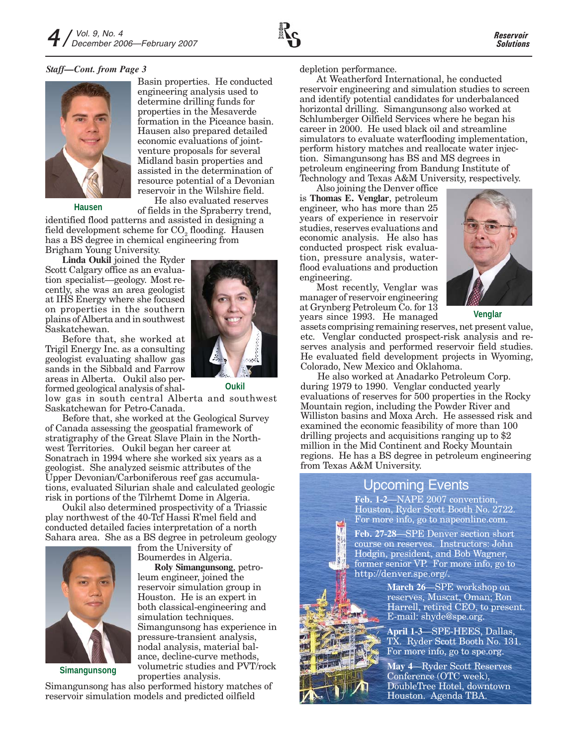## *Staff—Cont. from Page 3*



Basin properties. He conducted engineering analysis used to determine drilling funds for properties in the Mesaverde formation in the Piceance basin. Hausen also prepared detailed economic evaluations of jointventure proposals for several Midland basin properties and assisted in the determination of resource potential of a Devonian reservoir in the Wilshire field. He also evaluated reserves

**Hausen**

of fields in the Spraberry trend, identified flood patterns and assisted in designing a field development scheme for  $CO<sub>2</sub>$  flooding. Hausen has a BS degree in chemical engineering from Brigham Young University.

**Linda Oukil** joined the Ryder Scott Calgary office as an evaluation specialist—geology. Most recently, she was an area geologist at IHS Energy where she focused on properties in the southern plains of Alberta and in southwest Saskatchewan.

Before that, she worked at Trigil Energy Inc. as a consulting geologist evaluating shallow gas sands in the Sibbald and Farrow areas in Alberta. Oukil also performed geological analysis of shal- **Oukil**

low gas in south central Alberta and southwest Saskatchewan for Petro-Canada.

Before that, she worked at the Geological Survey of Canada assessing the geospatial framework of stratigraphy of the Great Slave Plain in the Northwest Territories. Oukil began her career at Sonatrach in 1994 where she worked six years as a geologist. She analyzed seismic attributes of the Upper Devonian/Carboniferous reef gas accumulations, evaluated Silurian shale and calculated geologic risk in portions of the Tilrhemt Dome in Algeria.

Oukil also determined prospectivity of a Triassic play northwest of the 40-Tcf Hassi R'mel field and conducted detailed facies interpretation of a north Sahara area. She as a BS degree in petroleum geology

> from the University of Boumerdes in Algeria.

leum engineer, joined the reservoir simulation group in Houston. He is an expert in both classical-engineering and

simulation techniques.

**Roly Simangunsong**, petro-

Simangunsong has experience in pressure-transient analysis, nodal analysis, material balance, decline-curve methods, volumetric studies and PVT/rock



**Simangunsong**

properties analysis. Simangunsong has also performed history matches of reservoir simulation models and predicted oilfield

depletion performance.

At Weatherford International, he conducted reservoir engineering and simulation studies to screen and identify potential candidates for underbalanced horizontal drilling. Simangunsong also worked at Schlumberger Oilfield Services where he began his career in 2000. He used black oil and streamline simulators to evaluate waterflooding implementation, perform history matches and reallocate water injection. Simangunsong has BS and MS degrees in petroleum engineering from Bandung Institute of Technology and Texas A&M University, respectively.

Also joining the Denver office is **Thomas E. Venglar**, petroleum engineer, who has more than 25 years of experience in reservoir studies, reserves evaluations and economic analysis. He also has conducted prospect risk evaluation, pressure analysis, waterflood evaluations and production engineering.

Most recently, Venglar was manager of reservoir engineering at Grynberg Petroleum Co. for 13 years since 1993. He managed

**Venglar**

assets comprising remaining reserves, net present value, etc. Venglar conducted prospect-risk analysis and reserves analysis and performed reservoir field studies. He evaluated field development projects in Wyoming, Colorado, New Mexico and Oklahoma.

He also worked at Anadarko Petroleum Corp. during 1979 to 1990. Venglar conducted yearly evaluations of reserves for 500 properties in the Rocky Mountain region, including the Powder River and Williston basins and Moxa Arch. He assessed risk and examined the economic feasibility of more than 100 drilling projects and acquisitions ranging up to \$2 million in the Mid Continent and Rocky Mountain regions. He has a BS degree in petroleum engineering from Texas A&M University.

## Upcoming Events

**Feb. 1-2**—NAPE 2007 convention, Houston, Ryder Scott Booth No. 2722. For more info, go to napeonline.com.

**Feb. 27-28**—SPE Denver section short course on reserves. Instructors: John Hodgin, president, and Bob Wagner, former senior VP. For more info, go to http://denver.spe.org/.

> **March 26**—SPE workshop on reserves, Muscat, Oman; Ron Harrell, retired CEO, to present. E-mail: shyde@spe.org.

**April 1-3**—SPE-HEES, Dallas, TX. Ryder Scott Booth No. 131. For more info, go to spe.org.

**May 4**—Ryder Scott Reserves Conference (OTC week), DoubleTree Hotel, downtown Houston. Agenda TBA.



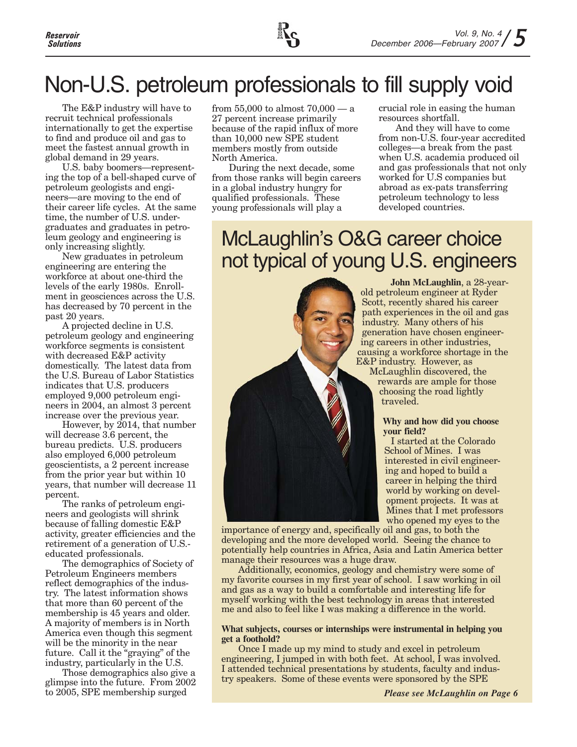

# Non-U.S. petroleum professionals to fill supply void

The E&P industry will have to recruit technical professionals internationally to get the expertise to find and produce oil and gas to meet the fastest annual growth in global demand in 29 years.

U.S. baby boomers—representing the top of a bell-shaped curve of petroleum geologists and engineers—are moving to the end of their career life cycles. At the same time, the number of U.S. undergraduates and graduates in petroleum geology and engineering is only increasing slightly.

New graduates in petroleum engineering are entering the workforce at about one-third the levels of the early 1980s. Enrollment in geosciences across the U.S. has decreased by 70 percent in the past 20 years.

A projected decline in U.S. petroleum geology and engineering workforce segments is consistent with decreased E&P activity domestically. The latest data from the U.S. Bureau of Labor Statistics indicates that U.S. producers employed 9,000 petroleum engineers in 2004, an almost 3 percent increase over the previous year.

However, by 2014, that number will decrease 3.6 percent, the bureau predicts. U.S. producers also employed 6,000 petroleum geoscientists, a 2 percent increase from the prior year but within 10 years, that number will decrease 11 percent.

The ranks of petroleum engineers and geologists will shrink because of falling domestic E&P activity, greater efficiencies and the retirement of a generation of U.S. educated professionals.

The demographics of Society of Petroleum Engineers members reflect demographics of the industry. The latest information shows that more than 60 percent of the membership is 45 years and older. A majority of members is in North America even though this segment will be the minority in the near future. Call it the "graying" of the industry, particularly in the U.S.

Those demographics also give a glimpse into the future. From 2002 to 2005, SPE membership surged

from 55,000 to almost 70,000 — a 27 percent increase primarily because of the rapid influx of more than 10,000 new SPE student members mostly from outside North America.

During the next decade, some from those ranks will begin careers in a global industry hungry for qualified professionals. These young professionals will play a

crucial role in easing the human resources shortfall.

And they will have to come from non-U.S. four-year accredited colleges—a break from the past when U.S. academia produced oil and gas professionals that not only worked for U.S companies but abroad as ex-pats transferring petroleum technology to less developed countries.

## McLaughlin's O&G career choice not typical of young U.S. engineers



**John McLaughlin**, a 28-yearold petroleum engineer at Ryder Scott, recently shared his career path experiences in the oil and gas industry. Many others of his generation have chosen engineering careers in other industries, causing a workforce shortage in the E&P industry. However, as McLaughlin discovered, the rewards are ample for those choosing the road lightly

#### **Why and how did you choose your field?**

traveled.

I started at the Colorado School of Mines. I was interested in civil engineering and hoped to build a career in helping the third world by working on development projects. It was at Mines that I met professors who opened my eyes to the

importance of energy and, specifically oil and gas, to both the developing and the more developed world. Seeing the chance to potentially help countries in Africa, Asia and Latin America better manage their resources was a huge draw.

Additionally, economics, geology and chemistry were some of my favorite courses in my first year of school. I saw working in oil and gas as a way to build a comfortable and interesting life for myself working with the best technology in areas that interested me and also to feel like I was making a difference in the world.

## **What subjects, courses or internships were instrumental in helping you get a foothold?**

Once I made up my mind to study and excel in petroleum engineering, I jumped in with both feet. At school, I was involved. I attended technical presentations by students, faculty and industry speakers. Some of these events were sponsored by the SPE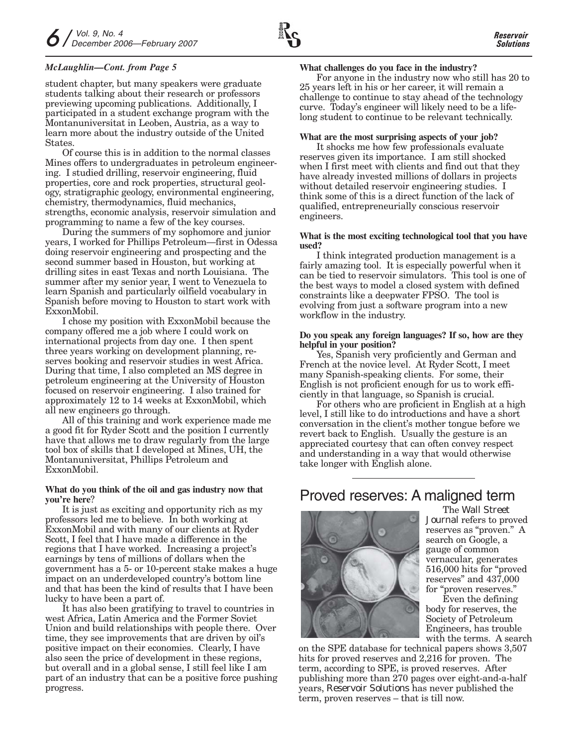## *McLaughlin—Cont. from Page 5*

student chapter, but many speakers were graduate students talking about their research or professors previewing upcoming publications. Additionally, I participated in a student exchange program with the Montanuniversitat in Leoben, Austria, as a way to learn more about the industry outside of the United States.

Of course this is in addition to the normal classes Mines offers to undergraduates in petroleum engineering. I studied drilling, reservoir engineering, fluid properties, core and rock properties, structural geology, stratigraphic geology, environmental engineering, chemistry, thermodynamics, fluid mechanics, strengths, economic analysis, reservoir simulation and programming to name a few of the key courses.

During the summers of my sophomore and junior years, I worked for Phillips Petroleum—first in Odessa doing reservoir engineering and prospecting and the second summer based in Houston, but working at drilling sites in east Texas and north Louisiana. The summer after my senior year, I went to Venezuela to learn Spanish and particularly oilfield vocabulary in Spanish before moving to Houston to start work with ExxonMobil.

I chose my position with ExxonMobil because the company offered me a job where I could work on international projects from day one. I then spent three years working on development planning, reserves booking and reservoir studies in west Africa. During that time, I also completed an MS degree in petroleum engineering at the University of Houston focused on reservoir engineering. I also trained for approximately 12 to 14 weeks at ExxonMobil, which all new engineers go through.

All of this training and work experience made me a good fit for Ryder Scott and the position I currently have that allows me to draw regularly from the large tool box of skills that I developed at Mines, UH, the Montanuniversitat, Phillips Petroleum and ExxonMobil.

## **What do you think of the oil and gas industry now that you're here**?

It is just as exciting and opportunity rich as my professors led me to believe. In both working at ExxonMobil and with many of our clients at Ryder Scott, I feel that I have made a difference in the regions that I have worked. Increasing a project's earnings by tens of millions of dollars when the government has a 5- or 10-percent stake makes a huge impact on an underdeveloped country's bottom line and that has been the kind of results that I have been lucky to have been a part of.

It has also been gratifying to travel to countries in west Africa, Latin America and the Former Soviet Union and build relationships with people there. Over time, they see improvements that are driven by oil's positive impact on their economies. Clearly, I have also seen the price of development in these regions, but overall and in a global sense, I still feel like I am part of an industry that can be a positive force pushing progress.

For anyone in the industry now who still has 20 to 25 years left in his or her career, it will remain a challenge to continue to stay ahead of the technology curve. Today's engineer will likely need to be a lifelong student to continue to be relevant technically.

#### **What are the most surprising aspects of your job?**

It shocks me how few professionals evaluate reserves given its importance. I am still shocked when I first meet with clients and find out that they have already invested millions of dollars in projects without detailed reservoir engineering studies. I think some of this is a direct function of the lack of qualified, entrepreneurially conscious reservoir engineers.

#### **What is the most exciting technological tool that you have used?**

I think integrated production management is a fairly amazing tool. It is especially powerful when it can be tied to reservoir simulators. This tool is one of the best ways to model a closed system with defined constraints like a deepwater FPSO. The tool is evolving from just a software program into a new workflow in the industry.

#### **Do you speak any foreign languages? If so, how are they helpful in your position?**

Yes, Spanish very proficiently and German and French at the novice level. At Ryder Scott, I meet many Spanish-speaking clients. For some, their English is not proficient enough for us to work efficiently in that language, so Spanish is crucial.

For others who are proficient in English at a high level, I still like to do introductions and have a short conversation in the client's mother tongue before we revert back to English. Usually the gesture is an appreciated courtesy that can often convey respect and understanding in a way that would otherwise take longer with English alone.

## Proved reserves: A maligned term



The *Wall Street Journal* refers to proved reserves as "proven." A search on Google, a gauge of common vernacular, generates 516,000 hits for "proved reserves" and 437,000 for "proven reserves."

Even the defining body for reserves, the Society of Petroleum Engineers, has trouble with the terms. A search

on the SPE database for technical papers shows 3,507 hits for proved reserves and 2,216 for proven. The term, according to SPE, is proved reserves. After publishing more than 270 pages over eight-and-a-half years, *Reservoir Solutions* has never published the term, proven reserves – that is till now.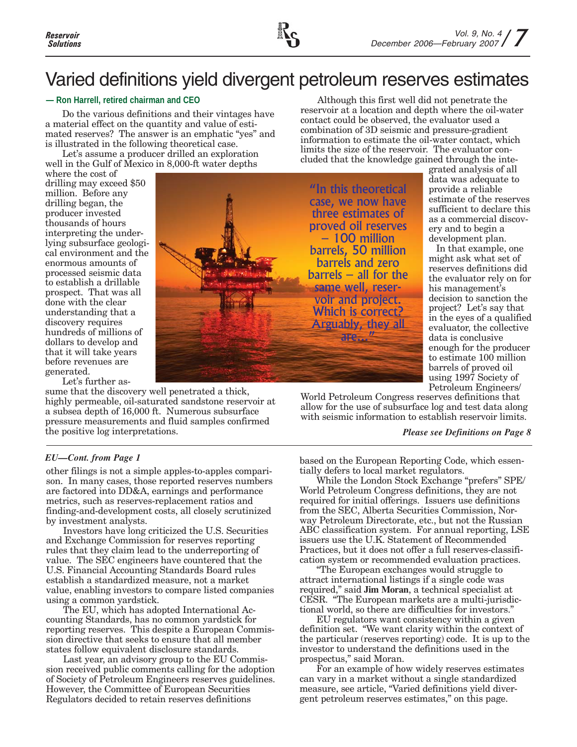

## Varied definitions yield divergent petroleum reserves estimates

## **— Ron Harrell, retired chairman and CEO**

Do the various definitions and their vintages have a material effect on the quantity and value of estimated reserves? The answer is an emphatic "yes" and is illustrated in the following theoretical case.

Let's assume a producer drilled an exploration well in the Gulf of Mexico in 8,000-ft water depths

where the cost of drilling may exceed \$50 million. Before any drilling began, the producer invested thousands of hours interpreting the underlying subsurface geological environment and the enormous amounts of processed seismic data to establish a drillable prospect. That was all done with the clear understanding that a discovery requires hundreds of millions of dollars to develop and that it will take years before revenues are generated.

"In this theoretical case, we now have three estimates of proved oil reserves – 100 million barrels, 50 million barrels and zero barrels – all for the same well, reservoir and project. Which is correct? Arguably, they all are...

contact could be observed, the evaluator used a combination of 3D seismic and pressure-gradient information to estimate the oil-water contact, which limits the size of the reservoir. The evaluator concluded that the knowledge gained through the integrated analysis of all data was adequate to provide a reliable

Although this first well did not penetrate the reservoir at a location and depth where the oil-water

> sufficient to declare this as a commercial discovery and to begin a development plan. In that example, one might ask what set of reserves definitions did the evaluator rely on for his management's decision to sanction the project? Let's say that in the eyes of a qualified evaluator, the collective data is conclusive enough for the producer

to estimate 100 million barrels of proved oil using 1997 Society of

estimate of the reserves

Petroleum Engineers/ World Petroleum Congress reserves definitions that allow for the use of subsurface log and test data along with seismic information to establish reservoir limits.

*Please see Definitions on Page 8*

*EU—Cont. from Page 1*

Let's further as-

the positive log interpretations.

other filings is not a simple apples-to-apples comparison. In many cases, those reported reserves numbers are factored into DD&A, earnings and performance metrics, such as reserves-replacement ratios and finding-and-development costs, all closely scrutinized by investment analysts.

sume that the discovery well penetrated a thick, highly permeable, oil-saturated sandstone reservoir at a subsea depth of 16,000 ft. Numerous subsurface pressure measurements and fluid samples confirmed

Investors have long criticized the U.S. Securities and Exchange Commission for reserves reporting rules that they claim lead to the underreporting of value. The SEC engineers have countered that the U.S. Financial Accounting Standards Board rules establish a standardized measure, not a market value, enabling investors to compare listed companies using a common yardstick.

The EU, which has adopted International Accounting Standards, has no common yardstick for reporting reserves. This despite a European Commission directive that seeks to ensure that all member states follow equivalent disclosure standards.

Last year, an advisory group to the EU Commission received public comments calling for the adoption of Society of Petroleum Engineers reserves guidelines. However, the Committee of European Securities Regulators decided to retain reserves definitions

based on the European Reporting Code, which essentially defers to local market regulators.

While the London Stock Exchange "prefers" SPE/ World Petroleum Congress definitions, they are not required for initial offerings. Issuers use definitions from the SEC, Alberta Securities Commission, Norway Petroleum Directorate, etc., but not the Russian ABC classification system. For annual reporting, LSE issuers use the U.K. Statement of Recommended Practices, but it does not offer a full reserves-classification system or recommended evaluation practices.

"The European exchanges would struggle to attract international listings if a single code was required," said **Jim Moran**, a technical specialist at CESR. "The European markets are a multi-jurisdictional world, so there are difficulties for investors."

EU regulators want consistency within a given definition set. "We want clarity within the context of the particular (reserves reporting) code. It is up to the investor to understand the definitions used in the prospectus," said Moran.

For an example of how widely reserves estimates can vary in a market without a single standardized measure, see article, "Varied definitions yield divergent petroleum reserves estimates," on this page.